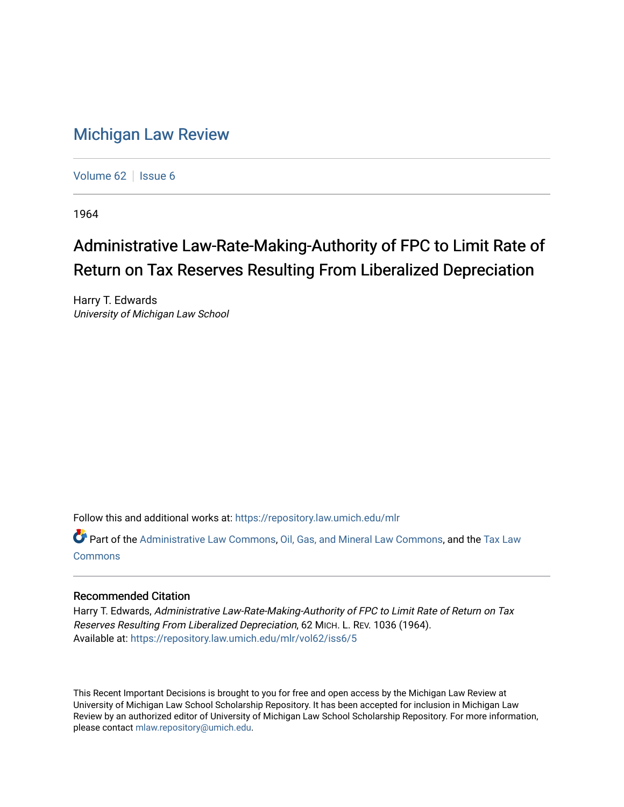## [Michigan Law Review](https://repository.law.umich.edu/mlr)

[Volume 62](https://repository.law.umich.edu/mlr/vol62) | [Issue 6](https://repository.law.umich.edu/mlr/vol62/iss6)

1964

## Administrative Law-Rate-Making-Authority of FPC to Limit Rate of Return on Tax Reserves Resulting From Liberalized Depreciation

Harry T. Edwards University of Michigan Law School

Follow this and additional works at: [https://repository.law.umich.edu/mlr](https://repository.law.umich.edu/mlr?utm_source=repository.law.umich.edu%2Fmlr%2Fvol62%2Fiss6%2F5&utm_medium=PDF&utm_campaign=PDFCoverPages) 

Part of the [Administrative Law Commons,](http://network.bepress.com/hgg/discipline/579?utm_source=repository.law.umich.edu%2Fmlr%2Fvol62%2Fiss6%2F5&utm_medium=PDF&utm_campaign=PDFCoverPages) [Oil, Gas, and Mineral Law Commons,](http://network.bepress.com/hgg/discipline/864?utm_source=repository.law.umich.edu%2Fmlr%2Fvol62%2Fiss6%2F5&utm_medium=PDF&utm_campaign=PDFCoverPages) and the [Tax Law](http://network.bepress.com/hgg/discipline/898?utm_source=repository.law.umich.edu%2Fmlr%2Fvol62%2Fiss6%2F5&utm_medium=PDF&utm_campaign=PDFCoverPages) **[Commons](http://network.bepress.com/hgg/discipline/898?utm_source=repository.law.umich.edu%2Fmlr%2Fvol62%2Fiss6%2F5&utm_medium=PDF&utm_campaign=PDFCoverPages)** 

## Recommended Citation

Harry T. Edwards, Administrative Law-Rate-Making-Authority of FPC to Limit Rate of Return on Tax Reserves Resulting From Liberalized Depreciation, 62 MICH. L. REV. 1036 (1964). Available at: [https://repository.law.umich.edu/mlr/vol62/iss6/5](https://repository.law.umich.edu/mlr/vol62/iss6/5?utm_source=repository.law.umich.edu%2Fmlr%2Fvol62%2Fiss6%2F5&utm_medium=PDF&utm_campaign=PDFCoverPages)

This Recent Important Decisions is brought to you for free and open access by the Michigan Law Review at University of Michigan Law School Scholarship Repository. It has been accepted for inclusion in Michigan Law Review by an authorized editor of University of Michigan Law School Scholarship Repository. For more information, please contact [mlaw.repository@umich.edu.](mailto:mlaw.repository@umich.edu)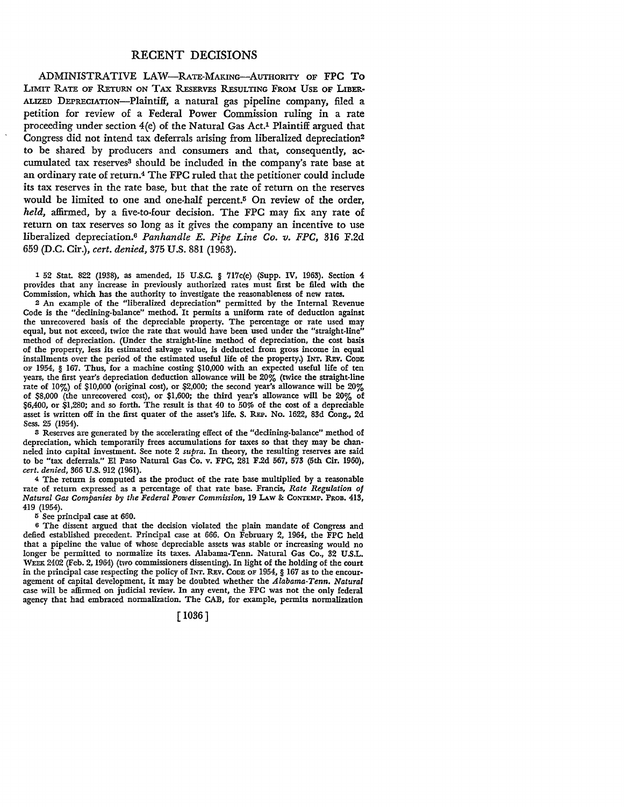## RECENT DECISIONS

ADMINISTRATIVE LAW-RATE-MAKING-AUTHORITY OF FPC TO LIMIT RATE OF RETuRN oN TAX REsERVES REsuLTING FRoM UsE OF LIBER· ALIZED DEPRECIATION-Plaintiff, a natural gas pipeline company, filed a petition for review of a Federal Power Commission ruling in a rate proceeding under section 4(e) of the Natural Gas Act.1 Plaintiff argued that Congress did not intend tax deferrals arising from liberalized depreciation<sup>2</sup> to be shared by producers and consumers and that, consequently, accumulated tax reserves<sup>3</sup> should be included in the company's rate base at an ordinary rate of return.<sup>4</sup> The FPC ruled that the petitioner could include its tax reserves in the rate base, but that the rate of return on the reserves would be limited to one and one-half percent.5 On review of the order, *held,* affirmed, by a five-to-four decision. The FPC may fix any rate of return on tax reserves so long as it gives the company an incentive to use liberalized depreciation.6 *Panhandle E. Pipe Line Co. v. FPC,* 316 F.2d 659 (D.C. Cir.), *cert. denied,* 375 U.S. 881 (1963).

1 52 Stat. 822 (1938), as amended, 15 U.S.C. § 717c(e) (Supp. IV, 1963). Section 4 provides that any increase in previously authorized rates must first be filed with the Commission, which has the authority to investigate the reasonableness of new rates.

2 An example of the "liberalized depreciation" permitted by the Internal Revenue Code is the "declining-balance" method. It permits a uniform rate of deduction **against**  the unrecovered basis of the depreciable property. The percentage or rate used may equal, but not exceed, twice the rate that would have been used under the "straight-line" method of depreciation. (Under the straight-line method of depreciation, the cost basis of the property, less its estimated salvage value, is deducted from gross income in equal installments over the period of the estimated useful life of the property.) INT. REv. CODE OF 1954, § 167. Thus, for a machine costing \$10,000 with an expected useful life of ten years, the first year's depreciation deduction allowance will be 20% (twice the straight-line rate of 10%) of \$10,000 (original cost), or \$2,000; the second year's allowance will be 20% of \$8,000 (the unrecovered cost), or \$1,600; the third year's allowance will be 20% of \$6,400, or \$1,280; and so forth. The result is that 40 to 50% of the cost of a depreciable asset is written off in the first quater of the asset's life. S. REP. No. 1622, 83d Cong., 2d Sess. 25 (1954).

<sup>3</sup>Reserves are generated by the accelerating effect of the "declining-balance" method of depreciation, which temporarily frees accumulations for taxes so that they may be channeled into capital investment. See note 2 *supra.* In theory, the resulting reserves are said to be "tax deferrals." El Paso Natural Gas Co. v. FPC, 281 F.2d 567, 573 (5th Cir. 1960), *cert. denied,* 366 U.S. 912 (1961).

<sup>4</sup>The return is computed as the product of the rate base multiplied by a reasonable rate of return expressed as a percentage of that rate base. Francis, *Rate Regulation of Natural Gas Companies by the Federal Power Commission,* 19 I.Aw 8: CoNTEMP. PROB. 413, 419 (1954).

<sup>5</sup>See principal case at 660.

<sup>6</sup>The dissent argued that the decision violated the plain mandate of Congress and defied established precedent. Principal case at 666. On February 2, 1964, the FPC held that a pipeline the value of whose depreciable assets was stable or increasing would no longer be permitted to normalize its taxes. Alabama-Tenn. Natural Gas Co., 32 U.S.L. WEEK 2402 (Feb. 2, 1964) (two commissioners dissenting). In light of the holding of the court in the principal case respecting the policy of INT, REv. CODE OF 1954, § 167 as to the encouragement of capital development, it may be doubted whether the *Alabama-Tenn. Natural*  case will be affirmed on judicial review. In any event, the FPC was not the only federal agency that had embraced normalization. The CAB, for example, permits normalization

[ 1036]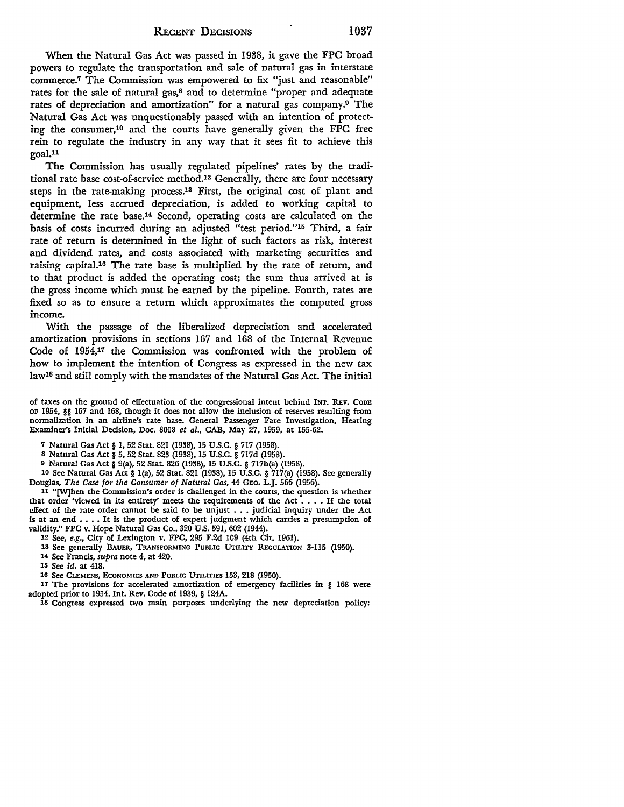When the Natural Gas Act was passed in 1938, it gave the FPC broad powers to regulate the transportation and sale of natural gas in interstate commerce.7 The Commission was empowered to fix "just and reasonable" rates for the sale of natural gas,<sup>8</sup> and to determine "proper and adequate rates of depreciation and amortization" for a natural gas company.9 The Natural Gas Act was unquestionably passed with an intention of protecting the consumer,10 and the courts have generally given the FPC free rein to regulate the industry in any way that it sees fit to achieve this goal.11

The Commission has usually regulated pipelines' rates by the traditional rate base cost-of-service method.12 Generally, there are four necessary steps in the rate-making process.13 First, the original cost of plant and equipment, less accrued depreciation, is added to working capital to determine the rate base.14 Second, operating costs are calculated on the basis of costs incurred during an adjusted "test period."15 Third, a fair rate of return is determined in the light of such factors as risk, interest and dividend rates, and costs associated with marketing securities and raising capital.16 The rate base is multiplied by the rate of return, and to that product is added the operating cost; the sum thus arrived at is the gross income which must be earned by the pipeline. Fourth, rates are fixed so as to ensure a return which approximates the computed gross income.

With the passage of the liberalized depreciation and accelerated amortization provisions in sections 167 and 168 of the Internal Revenue Code of 1954,17 the Commission was confronted with the problem of how to implement the intention of Congress as expressed in the new tax law18 and still comply with the mandates of the Natural Gas Act. The initial

of taxes on the ground of effectuation of the congressional intent behind INT. REV. CODE OF 1954, §§ 167 and 168, though it does not allow the inclusion of reserves resulting from normalization in an airline's rate base. General Passenger Fare Investigation, Hearing Examiner's Initial Decision, Doc. 8008 *et al.,* CAB, May 27, 1959, at 155-62.

7 Natural Gas Act § 1, 52 Stat. 821 (1938), 15 U.S.C. § 717 (1958).

s Natural Gas Act § 5, 52 Stat. 823 (1938), 15 U.S.C. § 717d (1958).

<sup>9</sup>Natural Gas Act§ 9(a), 52 Stat. 826 (1938), 15 U.S.C. § 717h(a) (1958).

10 See Natural Gas Act § l(a), 52 Stat. 821 (1938), 15 U.S.C. § 717(a) (1958). See generally Douglas, *The Case for the Consumer of Natural Gas,* 44 GEo. L.J. 566 (1956).

11 "[W]hen the Commission's order is challenged in the courts, the question is whether that order 'viewed in its entirety' meets the requirements of the Act  $\dots$ . If the total effect of the rate order cannot be said to be unjust  $\ldots$  judicial inquiry under the Act is at an end  $\dots$ . It is the product of expert judgment which carries a presumption of validity." FPC v. Hope Natural Gas Co., 320 U.S. 591, 602 (1944).

12 See, *e.g.,* City of Lexington v. FPC, 295 F.2d 109 (4th Cir. 1961).

13 Sec generally BAUER, TRANSFORMING PUBLIC UTILlTY REGULATION 3-115 (1950).

H See Francis, *supra* note 4, at 420.

15 See id. at 418.

16 See CLEMENS, ECONOMICS AND PUBLIC UTILITIES 153, 218 (1950).

17 The provisions for accelerated amortization of emergency facilities in § 168 were adopted prior to 1954. Int. Rev. Code of 1939, § 124A.

18 Congress expressed two main purposes underlying the new depreciation policy: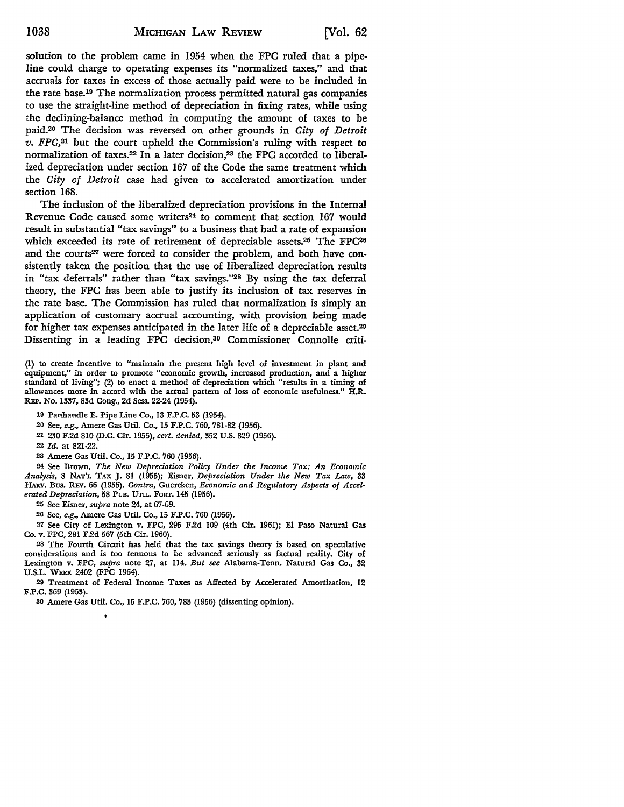solution to the problem came in 1954 when the FPC ruled that a pipeline could charge to operating expenses its "normalized taxes," and that accruals for taxes in excess of those actually paid were to be included in the rate base.19 The normalization process permitted natural gas companies to use the straight-line method of depreciation in fixing rates, while using the declining-balance method in computing the amount of taxes to be paid.20 The decision was reversed on other grounds in *City of Detroit*   $v.$   $FPC<sub>1</sub><sup>21</sup>$  but the court upheld the Commission's ruling with respect to normalization of taxes.22 In a later decision,23 the FPC accorded to liberalized depreciation under section 167 of the Code the same treatment which the *City of Detroit* case had given to accelerated amortization under section 168.

The inclusion of the liberalized depreciation provisions in the Internal Revenue Code caused some writers<sup>24</sup> to comment that section 167 would result in substantial "tax savings" to a business that had a rate of expansion which exceeded its rate of retirement of depreciable assets.25 The FPC26 and the courts<sup>27</sup> were forced to consider the problem, and both have consistently taken the position that the use of liberalized depreciation results in "tax deferrals" rather than "tax savings."28 By using the tax deferral theory, the FPC has been able to justify its inclusion of tax reserves in the rate base. The Commission has ruled that normalization is simply an application of customary accrual accounting, with provision being made for higher tax expenses anticipated in the later life of a depreciable asset.29 Dissenting in a leading FPC decision,3° Commissioner Connolle criti-

(1) to create incentive to "maintain the present high level of investment in plant and equipment," in order to promote "economic growth, increased production, and a higher standard of living"; (2) to enact a method of depreciation which "results in a timing of allowances more in accord with the actual pattern of loss of economic usefulness." **H.R.**  REP. No. 1337, 83d Cong., 2d Sess. 22-24 (1954).

19 Panhandle E. Pipe Line Co., 13 F.P.C. 53 (1954).

20 See, *e.g.,* Amere Gas Util. Co., 15 F.P.C. 760, 781-82 (1956).

21 230 F.2d 810 (D.C. Cir. 1955), *cert. denied,* 352 U.S. 829 (1956).

22 *Id.* at 821-22.

23 Amere Gas Util. Co., 15 F.P.C. 760 (1956).

24 See Brown, *The New Depreciation Policy Under the Income Tax: An Economic Analysis,* 8 NAT'L TAX J. 81 (1955); Eisner, *Depreciation Under the New Tax Law,* **33**  HARv. Bus. REv. 66 (1955). *Contra,* Guercken, *Economic and Regulatory Aspects of Accelerated Depreciation,* 58 Pun. UTIL. FORT. 145 (1956).

25 See Eisner, *supra* note 24, at 67-69.

26 See, *e.g.,* Amere Gas Util. Co., 15 F.P.C. 760 (1956).

*21* See City of Lexington v. FPC, 295 F.2d 109 (4th Cir. 1961); El Paso Natural Gas Co. v. FPC, 281 F.2d 567 (5th Cir. 1960).

28 The Fourth Circuit has held that the tax savings theory is based on speculative considerations and is too tenuous to be advanced seriously as factual reality. City of Lexington v. FPC, *supra* note 27, at 114. *But see* Alabama-Tenn. Natural Gas Co., 32 U.S.L. WEEK 2402 (FPC 1964).

29 Treatment of Federal Income Taxes as Affected by Accelerated Amortization, 12 F.P.C. 369 (1953).

so Amere Gas Util. Co., 15 F.P.C. 760, 783 (1956) (dissenting opinion).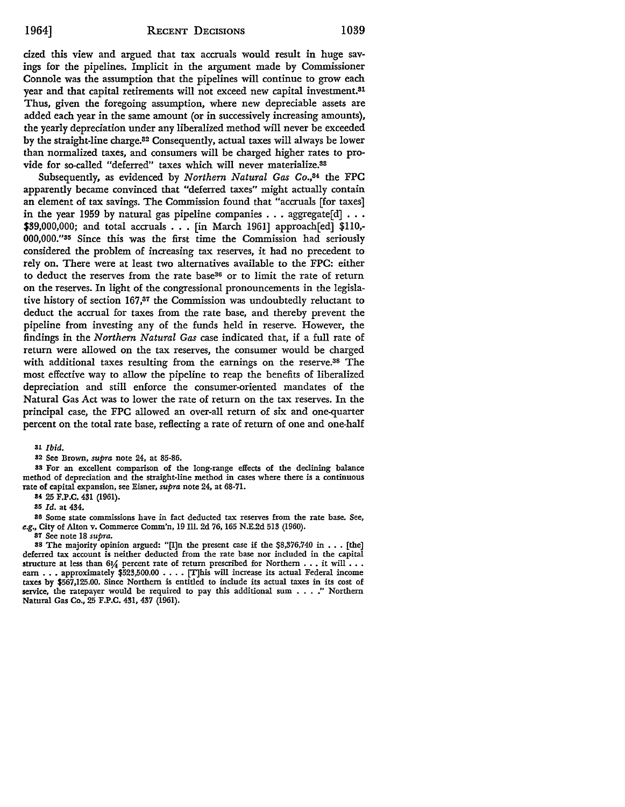cized this view and argued that tax accruals would result in huge savings for the pipelines. Implicit in the argument made by Commissioner Connole was the assumption that the pipelines will continue to grow each year and that capital retirements will not exceed new capital investment.<sup>31</sup> Thus, given the foregoing assumption, where new depreciable assets are added each year in the same amount (or in successively increasing amounts), the yearly depreciation under any liberalized method will never be exceeded by the straight-line charge.32 Consequently, actual taxes will always be lower than normalized taxes, and consumers will be charged higher rates to provide for so-called "deferred" taxes which will never materialize.33

Subsequently, as evidenced by *Northern Natural Gas Co.*,<sup>34</sup> the FPC apparently became convinced that "deferred taxes" might actually contain an element of tax savings. The Commission found that "accruals [for taxes] in the year 1959 by natural gas pipeline companies  $\ldots$  aggregate[d]  $\ldots$ \$39,000,000; and total accruals ... [in March 1961] approach[ed] \$110,- 000,000."<sup>35</sup> Since this was the first time the Commission had seriously considered the problem of increasing tax reserves, it had no precedent to rely on. There were at least two alternatives available to the FPC: either to deduct the reserves from the rate base36 or to limit the rate of return on the reserves. In light of the congressional pronouncements in the legislative history of section 167,37 the Commission was undoubtedly reluctant to deduct the accrual for taxes from the rate base, and thereby prevent the pipeline from investing any of the funds held in reserve. However, the findings in the *Northern Natural Gas* case indicated that, if a full rate of return were allowed on the tax reserves, the consumer would be charged with additional taxes resulting from the earnings on the reserve.38 The most effective way to allow the pipeline to reap the benefits of liberalized depreciation and still enforce the consumer-oriented mandates of the Natural Gas Act was to lower the rate of return on the tax reserves. In the principal case, the FPC allowed an over-all return of six and one-quarter percent on the total rate base, reflecting a rate of return of one and one-half

31 *Ibid.* 

32 See Brown, *supra* note 24, at 85-86.

83 For an excellent comparison of the long-range effects of the declining balance method of depreciation and the straight-line method in cases where there is a continuous rate of capital expansion, see Eisner, *supra* note 24, at 68-71.

84 25 F.P.C. 431 (1961).

35 *Id.* at 434.

30 Some state commissions have in fact deducted tax reserves from the rate base. See, e.g., City of Alton v. Commerce Comm'n, 19 Ill. 2d 76, 165 N.E.2d 513 (1960).

37 See note 18 *supra.* 

38 The majority opinion argued: "[I]n the present case if the  $$3,376,740$  in  $\ldots$  [the] deferred tax account is neither deducted from the rate base nor included in the capital structure at less than 61/4 percent rate of return prescribed for Northern  $\dots$  it will  $\dots$ earn . . . approximately \$523,500.00 . . . . [T]his will increase its actual Federal income taxes by \$567,125.00. Since Northern is entitled to include its actual taxes in its cost of service, the ratepayer would be required to pay this additional sum . . . ." Northern Natural Gas Co., 25 F.P.C. 431, 437 (1961).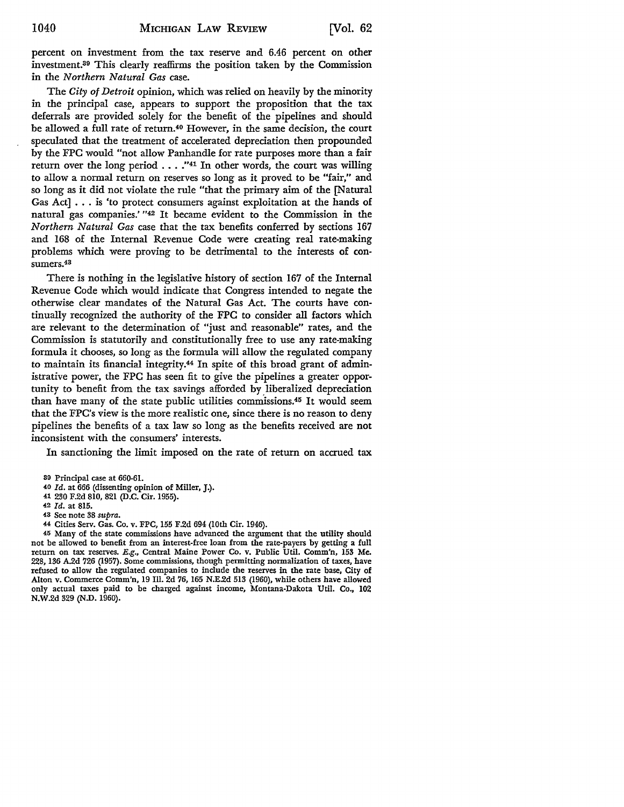percent on investment from the tax reserve and 6.46 percent on other investment.39 This clearly reaffirms the position taken by the Commission in the *Northern Natural Gas* case.

The *City of Detroit* opinion, which was relied on heavily by the minority in the principal case, appears to support the proposition that the tax deferrals are provided solely for the benefit of the pipelines and should be allowed a full rate of return.40 However, in the same decision, the court speculated that the treatment of accelerated depreciation then propounded by the FPC would "not allow Panhandle for rate purposes more than a fair return over the long period . . . . "41 In other words, the court was willing to allow a normal return on reserves so long as it proved to be "fair," and so long as it did not violate the rule "that the primary aim of the [Natural Gas Act] ... is 'to protect consumers against exploitation at the hands of natural gas companies.' "42 It became evident to the Commission in the *Northern Natural Gas* case that the tax benefits conferred by sections 167 and 168 of the Internal Revenue Code were creating real rate-making problems which were proving to be detrimental to the interests of consumers.43

There is nothing in the legislative history of section 167 of the Internal Revenue Code which would indicate that Congress intended to negate the otherwise clear mandates of the Natural Gas Act. The courts have continually recognized the authority of the FPC to consider all factors which are relevant to the determination of "just and reasonable" rates, and the Commission is statutorily and constitutionally free to use any rate-making formula it chooses, so long as the formula will allow the regulated company to maintain its financial integrity.44 In spite of this broad grant of administrative power, the FPC has seen fit to give the pipelines a greater opportunity to benefit from the tax savings afforded by liberalized depreciation than have many of the state public utilities commissions.45 It would seem that the FPC's view is the more realistic one, since there is no reason to deny pipelines the benefits of a tax law so long as the benefits received are not inconsistent with the consumers' interests.

In sanctioning the limit imposed on the rate of return on accrued tax

- 40 *Id.* at 666 (dissenting opinion of Miller, J.).
- 41 230 F.2d 810, 821 (D.C. Cir. 1955).

42 *Id.* at 815.

44 Cities Serv. Gas. Co. v. FPC, 155 F.2d 694 (10th Cir. 1946).

45 Many of the state commissions have advanced the argument that the utility should not be allowed to benefit from an interest-free loan from the rate-payers by getting a full return on tax reserves. E.g., Central Maine Power Co. v. Public Util. Comm'n, 153 Me. 228, 136 A.2d 726 (1957). Some commissions, though permitting normalization of taxes, have refused to allow the regulated companies to include the reserves in the rate base, City of Alton v. Commerce Comm'n, 19 Ill. 2d 76, 165 N.E.2d 513 (1960), while others have allowed only actual taxes paid to be charged against income, Montana-Dakota Util. Co., 102 N.W.2d 329 (N.D. 1960).

<sup>39</sup> Principal case at 660-61.

<sup>43</sup> See note 38 *supra.*